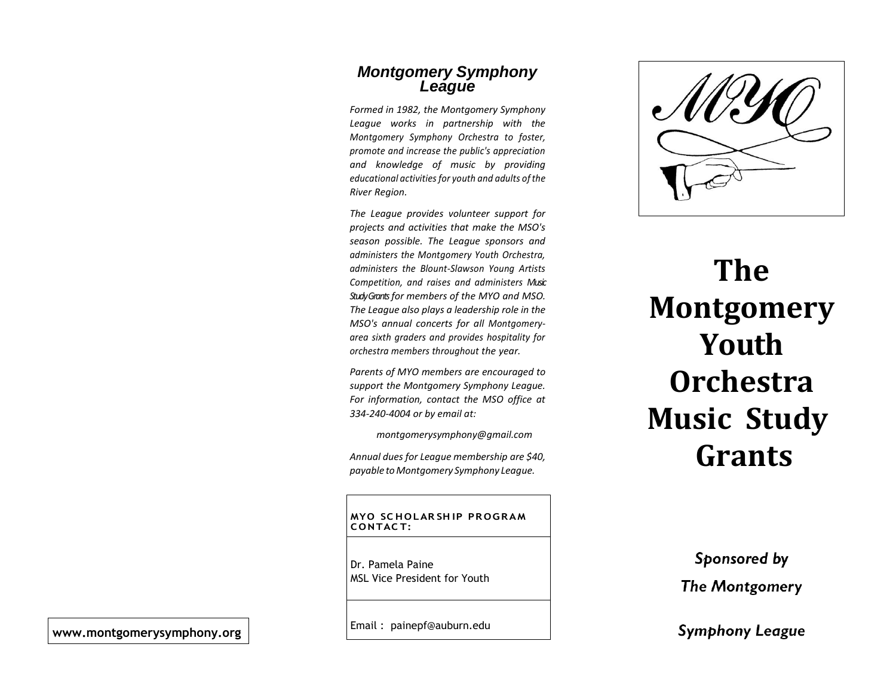### *Montgomery Symphony League*

*Formed in 1982, the Montgomery Symphony League works in partnership with the Montgomery Symphony Orchestra to foster, promote and increase the public's appreciation and knowledge of music by providing educational activities for youth and adults ofthe River Region.*

*The League provides volunteer support for projects and activities that make the MSO's season possible. The League sponsors and administers the Montgomery Youth Orchestra, administers the Blount-Slawson Young Artists Competition, and raises and administers Music Study Grantsfor members of the MYO and MSO. The League also plays a leadership role in the MSO's annual concerts for all Montgomeryarea sixth graders and provides hospitality for orchestra members throughout the year.*

*Parents of MYO members are encouraged to support the Montgomery Symphony League. For information, contact the MSO office at 334-240-4004 or by email at:*

*[montgomerysymphony@gmail.com](mailto:montgomerysymphony@gmail.com)*

*Annual dues for League membership are \$40, payable toMontgomery Symphony League.*

**MYO SC HOLAR SH IP PR OGRAM CONTAC T:**

Dr. Pamela Paine MSL Vice President for Youth



# **The Montgomery Youth Orchestra Music Study Grants**

Sponsored by **The Montgomery** 

**Symphony League** 

Email : painepf@auburn.edu **[www.montgomerysymphony.org](http://www.montgomerysymphony.org/)**